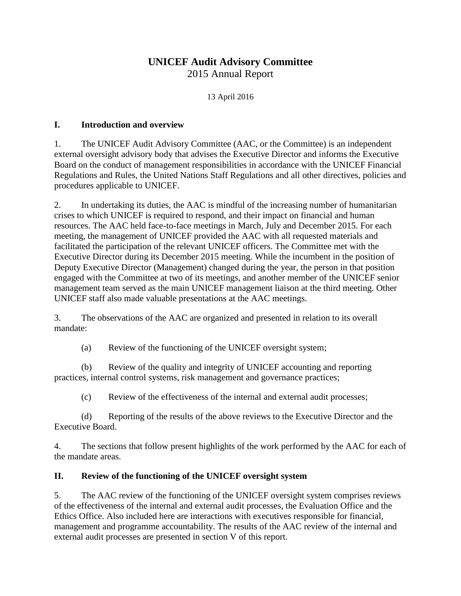# **UNICEF Audit Advisory Committee** 2015 Annual Report

13 April 2016

#### **I. Introduction and overview**

1. The UNICEF Audit Advisory Committee (AAC, or the Committee) is an independent external oversight advisory body that advises the Executive Director and informs the Executive Board on the conduct of management responsibilities in accordance with the UNICEF Financial Regulations and Rules, the United Nations Staff Regulations and all other directives, policies and procedures applicable to UNICEF.

2. In undertaking its duties, the AAC is mindful of the increasing number of humanitarian crises to which UNICEF is required to respond, and their impact on financial and human resources. The AAC held face-to-face meetings in March, July and December 2015. For each meeting, the management of UNICEF provided the AAC with all requested materials and facilitated the participation of the relevant UNICEF officers. The Committee met with the Executive Director during its December 2015 meeting. While the incumbent in the position of Deputy Executive Director (Management) changed during the year, the person in that position engaged with the Committee at two of its meetings, and another member of the UNICEF senior management team served as the main UNICEF management liaison at the third meeting. Other UNICEF staff also made valuable presentations at the AAC meetings.

3. The observations of the AAC are organized and presented in relation to its overall mandate:

(a) Review of the functioning of the UNICEF oversight system;

(b) Review of the quality and integrity of UNICEF accounting and reporting practices, internal control systems, risk management and governance practices;

(c) Review of the effectiveness of the internal and external audit processes;

(d) Reporting of the results of the above reviews to the Executive Director and the Executive Board.

4. The sections that follow present highlights of the work performed by the AAC for each of the mandate areas.

### **II. Review of the functioning of the UNICEF oversight system**

5. The AAC review of the functioning of the UNICEF oversight system comprises reviews of the effectiveness of the internal and external audit processes, the Evaluation Office and the Ethics Office. Also included here are interactions with executives responsible for financial, management and programme accountability. The results of the AAC review of the internal and external audit processes are presented in section V of this report.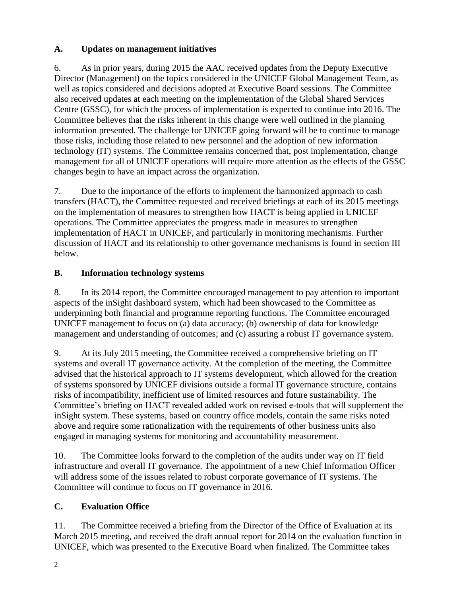## **A. Updates on management initiatives**

6. As in prior years, during 2015 the AAC received updates from the Deputy Executive Director (Management) on the topics considered in the UNICEF Global Management Team, as well as topics considered and decisions adopted at Executive Board sessions. The Committee also received updates at each meeting on the implementation of the Global Shared Services Centre (GSSC), for which the process of implementation is expected to continue into 2016. The Committee believes that the risks inherent in this change were well outlined in the planning information presented. The challenge for UNICEF going forward will be to continue to manage those risks, including those related to new personnel and the adoption of new information technology (IT) systems. The Committee remains concerned that, post implementation, change management for all of UNICEF operations will require more attention as the effects of the GSSC changes begin to have an impact across the organization.

7. Due to the importance of the efforts to implement the harmonized approach to cash transfers (HACT), the Committee requested and received briefings at each of its 2015 meetings on the implementation of measures to strengthen how HACT is being applied in UNICEF operations. The Committee appreciates the progress made in measures to strengthen implementation of HACT in UNICEF, and particularly in monitoring mechanisms. Further discussion of HACT and its relationship to other governance mechanisms is found in section III below.

# **B. Information technology systems**

8. In its 2014 report, the Committee encouraged management to pay attention to important aspects of the inSight dashboard system, which had been showcased to the Committee as underpinning both financial and programme reporting functions. The Committee encouraged UNICEF management to focus on (a) data accuracy; (b) ownership of data for knowledge management and understanding of outcomes; and (c) assuring a robust IT governance system.

9. At its July 2015 meeting, the Committee received a comprehensive briefing on IT systems and overall IT governance activity. At the completion of the meeting, the Committee advised that the historical approach to IT systems development, which allowed for the creation of systems sponsored by UNICEF divisions outside a formal IT governance structure, contains risks of incompatibility, inefficient use of limited resources and future sustainability. The Committee's briefing on HACT revealed added work on revised e-tools that will supplement the inSight system. These systems, based on country office models, contain the same risks noted above and require some rationalization with the requirements of other business units also engaged in managing systems for monitoring and accountability measurement.

10. The Committee looks forward to the completion of the audits under way on IT field infrastructure and overall IT governance. The appointment of a new Chief Information Officer will address some of the issues related to robust corporate governance of IT systems. The Committee will continue to focus on IT governance in 2016.

# **C. Evaluation Office**

11. The Committee received a briefing from the Director of the Office of Evaluation at its March 2015 meeting, and received the draft annual report for 2014 on the evaluation function in UNICEF, which was presented to the Executive Board when finalized. The Committee takes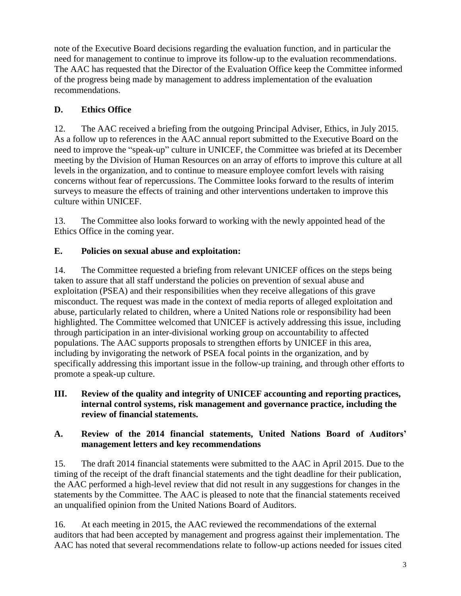note of the Executive Board decisions regarding the evaluation function, and in particular the need for management to continue to improve its follow-up to the evaluation recommendations. The AAC has requested that the Director of the Evaluation Office keep the Committee informed of the progress being made by management to address implementation of the evaluation recommendations.

## **D. Ethics Office**

12. The AAC received a briefing from the outgoing Principal Adviser, Ethics, in July 2015. As a follow up to references in the AAC annual report submitted to the Executive Board on the need to improve the "speak-up" culture in UNICEF, the Committee was briefed at its December meeting by the Division of Human Resources on an array of efforts to improve this culture at all levels in the organization, and to continue to measure employee comfort levels with raising concerns without fear of repercussions. The Committee looks forward to the results of interim surveys to measure the effects of training and other interventions undertaken to improve this culture within UNICEF.

13. The Committee also looks forward to working with the newly appointed head of the Ethics Office in the coming year.

## **E. Policies on sexual abuse and exploitation:**

14. The Committee requested a briefing from relevant UNICEF offices on the steps being taken to assure that all staff understand the policies on prevention of sexual abuse and exploitation (PSEA) and their responsibilities when they receive allegations of this grave misconduct. The request was made in the context of media reports of alleged exploitation and abuse, particularly related to children, where a United Nations role or responsibility had been highlighted. The Committee welcomed that UNICEF is actively addressing this issue, including through participation in an inter-divisional working group on accountability to affected populations. The AAC supports proposals to strengthen efforts by UNICEF in this area, including by invigorating the network of PSEA focal points in the organization, and by specifically addressing this important issue in the follow-up training, and through other efforts to promote a speak-up culture.

### **III. Review of the quality and integrity of UNICEF accounting and reporting practices, internal control systems, risk management and governance practice, including the review of financial statements.**

### **A. Review of the 2014 financial statements, United Nations Board of Auditors' management letters and key recommendations**

15. The draft 2014 financial statements were submitted to the AAC in April 2015. Due to the timing of the receipt of the draft financial statements and the tight deadline for their publication, the AAC performed a high-level review that did not result in any suggestions for changes in the statements by the Committee. The AAC is pleased to note that the financial statements received an unqualified opinion from the United Nations Board of Auditors.

16. At each meeting in 2015, the AAC reviewed the recommendations of the external auditors that had been accepted by management and progress against their implementation. The AAC has noted that several recommendations relate to follow-up actions needed for issues cited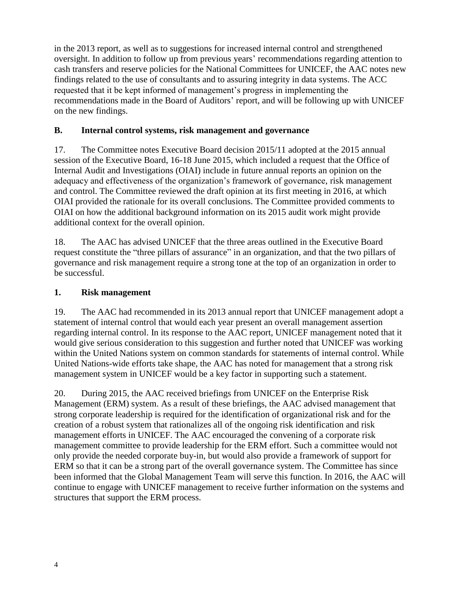in the 2013 report, as well as to suggestions for increased internal control and strengthened oversight. In addition to follow up from previous years' recommendations regarding attention to cash transfers and reserve policies for the National Committees for UNICEF, the AAC notes new findings related to the use of consultants and to assuring integrity in data systems. The ACC requested that it be kept informed of management's progress in implementing the recommendations made in the Board of Auditors' report, and will be following up with UNICEF on the new findings.

### **B. Internal control systems, risk management and governance**

17. The Committee notes Executive Board decision 2015/11 adopted at the 2015 annual session of the Executive Board, 16-18 June 2015, which included a request that the Office of Internal Audit and Investigations (OIAI) include in future annual reports an opinion on the adequacy and effectiveness of the organization's framework of governance, risk management and control. The Committee reviewed the draft opinion at its first meeting in 2016, at which OIAI provided the rationale for its overall conclusions. The Committee provided comments to OIAI on how the additional background information on its 2015 audit work might provide additional context for the overall opinion.

18. The AAC has advised UNICEF that the three areas outlined in the Executive Board request constitute the "three pillars of assurance" in an organization, and that the two pillars of governance and risk management require a strong tone at the top of an organization in order to be successful.

### **1. Risk management**

19. The AAC had recommended in its 2013 annual report that UNICEF management adopt a statement of internal control that would each year present an overall management assertion regarding internal control. In its response to the AAC report, UNICEF management noted that it would give serious consideration to this suggestion and further noted that UNICEF was working within the United Nations system on common standards for statements of internal control. While United Nations-wide efforts take shape, the AAC has noted for management that a strong risk management system in UNICEF would be a key factor in supporting such a statement.

20. During 2015, the AAC received briefings from UNICEF on the Enterprise Risk Management (ERM) system. As a result of these briefings, the AAC advised management that strong corporate leadership is required for the identification of organizational risk and for the creation of a robust system that rationalizes all of the ongoing risk identification and risk management efforts in UNICEF. The AAC encouraged the convening of a corporate risk management committee to provide leadership for the ERM effort. Such a committee would not only provide the needed corporate buy-in, but would also provide a framework of support for ERM so that it can be a strong part of the overall governance system. The Committee has since been informed that the Global Management Team will serve this function. In 2016, the AAC will continue to engage with UNICEF management to receive further information on the systems and structures that support the ERM process.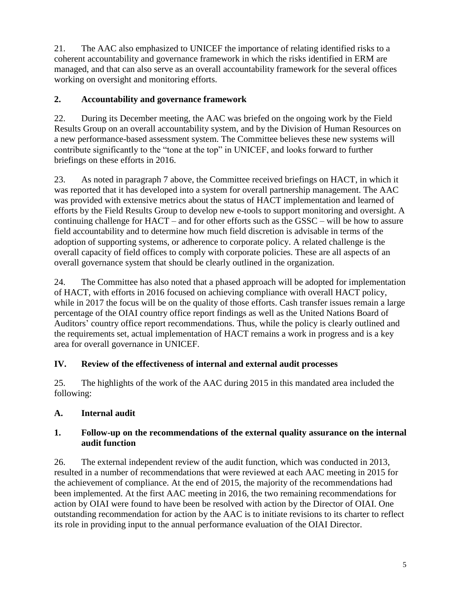21. The AAC also emphasized to UNICEF the importance of relating identified risks to a coherent accountability and governance framework in which the risks identified in ERM are managed, and that can also serve as an overall accountability framework for the several offices working on oversight and monitoring efforts.

## **2. Accountability and governance framework**

22. During its December meeting, the AAC was briefed on the ongoing work by the Field Results Group on an overall accountability system, and by the Division of Human Resources on a new performance-based assessment system. The Committee believes these new systems will contribute significantly to the "tone at the top" in UNICEF, and looks forward to further briefings on these efforts in 2016.

23. As noted in paragraph 7 above, the Committee received briefings on HACT, in which it was reported that it has developed into a system for overall partnership management. The AAC was provided with extensive metrics about the status of HACT implementation and learned of efforts by the Field Results Group to develop new e-tools to support monitoring and oversight. A continuing challenge for HACT – and for other efforts such as the GSSC – will be how to assure field accountability and to determine how much field discretion is advisable in terms of the adoption of supporting systems, or adherence to corporate policy. A related challenge is the overall capacity of field offices to comply with corporate policies. These are all aspects of an overall governance system that should be clearly outlined in the organization.

24. The Committee has also noted that a phased approach will be adopted for implementation of HACT, with efforts in 2016 focused on achieving compliance with overall HACT policy, while in 2017 the focus will be on the quality of those efforts. Cash transfer issues remain a large percentage of the OIAI country office report findings as well as the United Nations Board of Auditors' country office report recommendations. Thus, while the policy is clearly outlined and the requirements set, actual implementation of HACT remains a work in progress and is a key area for overall governance in UNICEF.

# **IV. Review of the effectiveness of internal and external audit processes**

25. The highlights of the work of the AAC during 2015 in this mandated area included the following:

# **A. Internal audit**

## **1. Follow-up on the recommendations of the external quality assurance on the internal audit function**

26. The external independent review of the audit function, which was conducted in 2013, resulted in a number of recommendations that were reviewed at each AAC meeting in 2015 for the achievement of compliance. At the end of 2015, the majority of the recommendations had been implemented. At the first AAC meeting in 2016, the two remaining recommendations for action by OIAI were found to have been be resolved with action by the Director of OIAI. One outstanding recommendation for action by the AAC is to initiate revisions to its charter to reflect its role in providing input to the annual performance evaluation of the OIAI Director.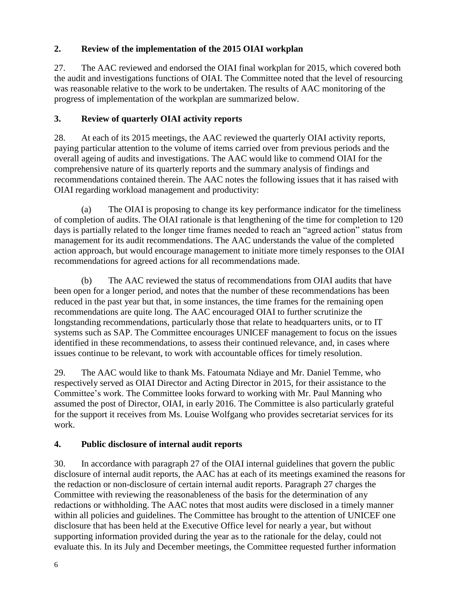## **2. Review of the implementation of the 2015 OIAI workplan**

27. The AAC reviewed and endorsed the OIAI final workplan for 2015, which covered both the audit and investigations functions of OIAI. The Committee noted that the level of resourcing was reasonable relative to the work to be undertaken. The results of AAC monitoring of the progress of implementation of the workplan are summarized below.

### **3. Review of quarterly OIAI activity reports**

28. At each of its 2015 meetings, the AAC reviewed the quarterly OIAI activity reports, paying particular attention to the volume of items carried over from previous periods and the overall ageing of audits and investigations. The AAC would like to commend OIAI for the comprehensive nature of its quarterly reports and the summary analysis of findings and recommendations contained therein. The AAC notes the following issues that it has raised with OIAI regarding workload management and productivity:

(a) The OIAI is proposing to change its key performance indicator for the timeliness of completion of audits. The OIAI rationale is that lengthening of the time for completion to 120 days is partially related to the longer time frames needed to reach an "agreed action" status from management for its audit recommendations. The AAC understands the value of the completed action approach, but would encourage management to initiate more timely responses to the OIAI recommendations for agreed actions for all recommendations made.

(b) The AAC reviewed the status of recommendations from OIAI audits that have been open for a longer period, and notes that the number of these recommendations has been reduced in the past year but that, in some instances, the time frames for the remaining open recommendations are quite long. The AAC encouraged OIAI to further scrutinize the longstanding recommendations, particularly those that relate to headquarters units, or to IT systems such as SAP. The Committee encourages UNICEF management to focus on the issues identified in these recommendations, to assess their continued relevance, and, in cases where issues continue to be relevant, to work with accountable offices for timely resolution.

29. The AAC would like to thank Ms. Fatoumata Ndiaye and Mr. Daniel Temme, who respectively served as OIAI Director and Acting Director in 2015, for their assistance to the Committee's work. The Committee looks forward to working with Mr. Paul Manning who assumed the post of Director, OIAI, in early 2016. The Committee is also particularly grateful for the support it receives from Ms. Louise Wolfgang who provides secretariat services for its work.

## **4. Public disclosure of internal audit reports**

30. In accordance with paragraph 27 of the OIAI internal guidelines that govern the public disclosure of internal audit reports, the AAC has at each of its meetings examined the reasons for the redaction or non-disclosure of certain internal audit reports. Paragraph 27 charges the Committee with reviewing the reasonableness of the basis for the determination of any redactions or withholding. The AAC notes that most audits were disclosed in a timely manner within all policies and guidelines. The Committee has brought to the attention of UNICEF one disclosure that has been held at the Executive Office level for nearly a year, but without supporting information provided during the year as to the rationale for the delay, could not evaluate this. In its July and December meetings, the Committee requested further information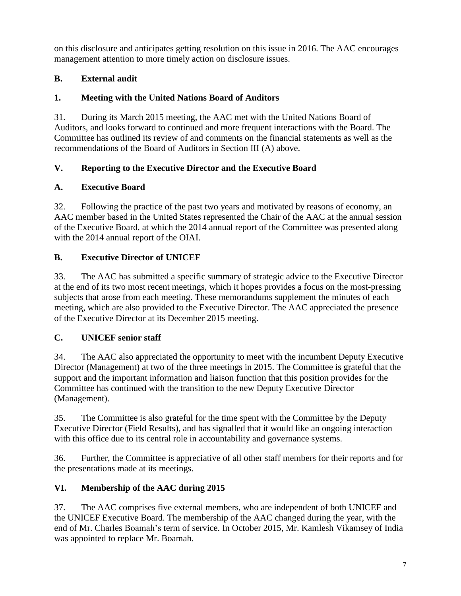on this disclosure and anticipates getting resolution on this issue in 2016. The AAC encourages management attention to more timely action on disclosure issues.

## **B. External audit**

## **1. Meeting with the United Nations Board of Auditors**

31. During its March 2015 meeting, the AAC met with the United Nations Board of Auditors, and looks forward to continued and more frequent interactions with the Board. The Committee has outlined its review of and comments on the financial statements as well as the recommendations of the Board of Auditors in Section III (A) above.

## **V. Reporting to the Executive Director and the Executive Board**

## **A. Executive Board**

32. Following the practice of the past two years and motivated by reasons of economy, an AAC member based in the United States represented the Chair of the AAC at the annual session of the Executive Board, at which the 2014 annual report of the Committee was presented along with the 2014 annual report of the OIAI.

# **B. Executive Director of UNICEF**

33. The AAC has submitted a specific summary of strategic advice to the Executive Director at the end of its two most recent meetings, which it hopes provides a focus on the most-pressing subjects that arose from each meeting. These memorandums supplement the minutes of each meeting, which are also provided to the Executive Director. The AAC appreciated the presence of the Executive Director at its December 2015 meeting.

# **C. UNICEF senior staff**

34. The AAC also appreciated the opportunity to meet with the incumbent Deputy Executive Director (Management) at two of the three meetings in 2015. The Committee is grateful that the support and the important information and liaison function that this position provides for the Committee has continued with the transition to the new Deputy Executive Director (Management).

35. The Committee is also grateful for the time spent with the Committee by the Deputy Executive Director (Field Results), and has signalled that it would like an ongoing interaction with this office due to its central role in accountability and governance systems.

36. Further, the Committee is appreciative of all other staff members for their reports and for the presentations made at its meetings.

# **VI. Membership of the AAC during 2015**

37. The AAC comprises five external members, who are independent of both UNICEF and the UNICEF Executive Board. The membership of the AAC changed during the year, with the end of Mr. Charles Boamah's term of service. In October 2015, Mr. Kamlesh Vikamsey of India was appointed to replace Mr. Boamah.